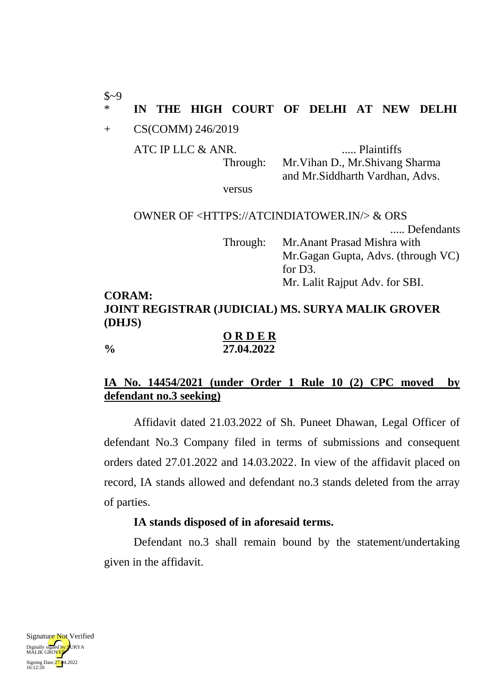\* **IN THE HIGH COURT OF DELHI AT NEW DELHI**

+ CS(COMM) 246/2019

 $$~9$$ 

ATC IP LLC & ANR. ..... Plaintiffs

Through: Mr.Vihan D., Mr.Shivang Sharma and Mr.Siddharth Vardhan, Advs.

versus

OWNER OF <HTTPS://ATCINDIATOWER.IN/> & ORS ..... Defendants Through: Mr.Anant Prasad Mishra with Mr.Gagan Gupta, Advs. (through VC) for D3. Mr. Lalit Rajput Adv. for SBI. **CORAM:**

# **JOINT REGISTRAR (JUDICIAL) MS. SURYA MALIK GROVER (DHJS)**

**O R D E R % 27.04.2022**

## **IA No. 14454/2021 (under Order 1 Rule 10 (2) CPC moved by defendant no.3 seeking)**

Affidavit dated 21.03.2022 of Sh. Puneet Dhawan, Legal Officer of defendant No.3 Company filed in terms of submissions and consequent orders dated 27.01.2022 and 14.03.2022. In view of the affidavit placed on record, IA stands allowed and defendant no.3 stands deleted from the array of parties.

### **IA stands disposed of in aforesaid terms.**

Defendant no.3 shall remain bound by the statement/undertaking given in the affidavit.